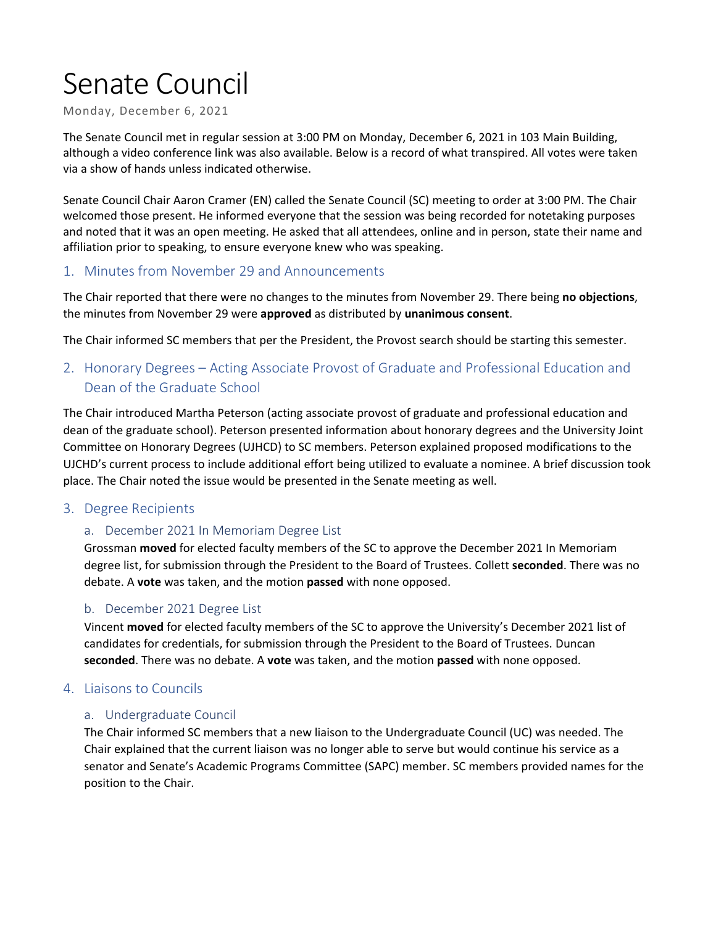# Senate Council

Monday, December 6, 2021

The Senate Council met in regular session at 3:00 PM on Monday, December 6, 2021 in 103 Main Building, although a video conference link was also available. Below is a record of what transpired. All votes were taken via a show of hands unless indicated otherwise.

Senate Council Chair Aaron Cramer (EN) called the Senate Council (SC) meeting to order at 3:00 PM. The Chair welcomed those present. He informed everyone that the session was being recorded for notetaking purposes and noted that it was an open meeting. He asked that all attendees, online and in person, state their name and affiliation prior to speaking, to ensure everyone knew who was speaking.

## 1. Minutes from November 29 and Announcements

The Chair reported that there were no changes to the minutes from November 29. There being **no objections**, the minutes from November 29 were **approved** as distributed by **unanimous consent**.

The Chair informed SC members that per the President, the Provost search should be starting this semester.

## 2. Honorary Degrees – Acting Associate Provost of Graduate and Professional Education and Dean of the Graduate School

The Chair introduced Martha Peterson (acting associate provost of graduate and professional education and dean of the graduate school). Peterson presented information about honorary degrees and the University Joint Committee on Honorary Degrees (UJHCD) to SC members. Peterson explained proposed modifications to the UJCHD's current process to include additional effort being utilized to evaluate a nominee. A brief discussion took place. The Chair noted the issue would be presented in the Senate meeting as well.

## 3. Degree Recipients

## a. December 2021 In Memoriam Degree List

Grossman **moved** for elected faculty members of the SC to approve the December 2021 In Memoriam degree list, for submission through the President to the Board of Trustees. Collett **seconded**. There was no debate. A **vote** was taken, and the motion **passed** with none opposed.

## b. December 2021 Degree List

Vincent **moved** for elected faculty members of the SC to approve the University's December 2021 list of candidates for credentials, for submission through the President to the Board of Trustees. Duncan **seconded**. There was no debate. A **vote** was taken, and the motion **passed** with none opposed.

## 4. Liaisons to Councils

## a. Undergraduate Council

The Chair informed SC members that a new liaison to the Undergraduate Council (UC) was needed. The Chair explained that the current liaison was no longer able to serve but would continue his service as a senator and Senate's Academic Programs Committee (SAPC) member. SC members provided names for the position to the Chair.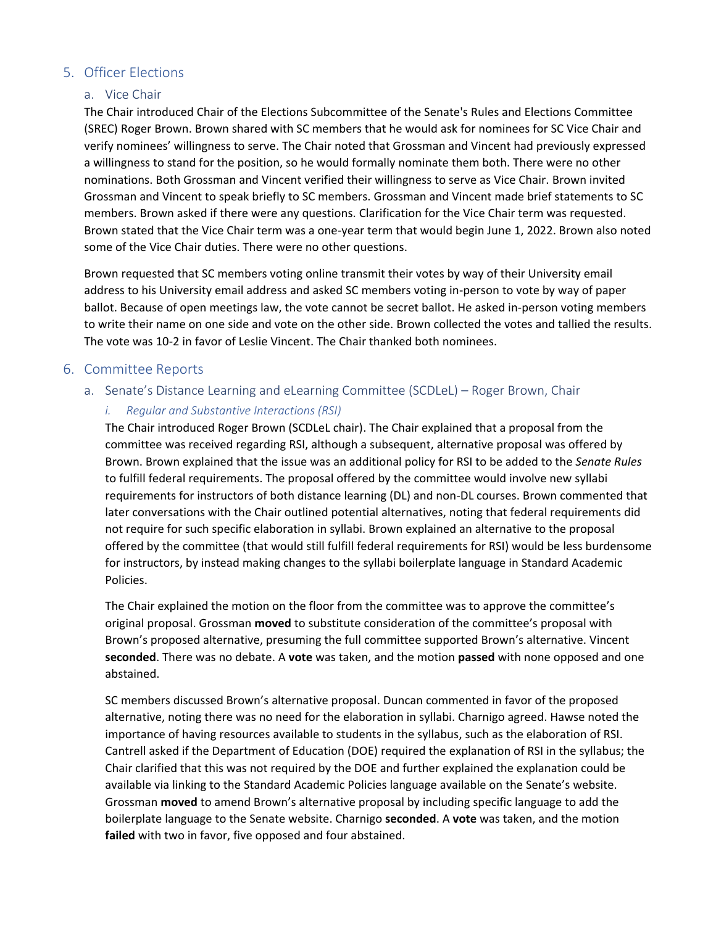## 5. Officer Elections

#### a. Vice Chair

The Chair introduced Chair of the Elections Subcommittee of the Senate's Rules and Elections Committee (SREC) Roger Brown. Brown shared with SC members that he would ask for nominees for SC Vice Chair and verify nominees' willingness to serve. The Chair noted that Grossman and Vincent had previously expressed a willingness to stand for the position, so he would formally nominate them both. There were no other nominations. Both Grossman and Vincent verified their willingness to serve as Vice Chair. Brown invited Grossman and Vincent to speak briefly to SC members. Grossman and Vincent made brief statements to SC members. Brown asked if there were any questions. Clarification for the Vice Chair term was requested. Brown stated that the Vice Chair term was a one-year term that would begin June 1, 2022. Brown also noted some of the Vice Chair duties. There were no other questions.

Brown requested that SC members voting online transmit their votes by way of their University email address to his University email address and asked SC members voting in-person to vote by way of paper ballot. Because of open meetings law, the vote cannot be secret ballot. He asked in-person voting members to write their name on one side and vote on the other side. Brown collected the votes and tallied the results. The vote was 10-2 in favor of Leslie Vincent. The Chair thanked both nominees.

## 6. Committee Reports

- a. Senate's Distance Learning and eLearning Committee (SCDLeL) Roger Brown, Chair
	- *i. Regular and Substantive Interactions (RSI)*

The Chair introduced Roger Brown (SCDLeL chair). The Chair explained that a proposal from the committee was received regarding RSI, although a subsequent, alternative proposal was offered by Brown. Brown explained that the issue was an additional policy for RSI to be added to the *Senate Rules* to fulfill federal requirements. The proposal offered by the committee would involve new syllabi requirements for instructors of both distance learning (DL) and non-DL courses. Brown commented that later conversations with the Chair outlined potential alternatives, noting that federal requirements did not require for such specific elaboration in syllabi. Brown explained an alternative to the proposal offered by the committee (that would still fulfill federal requirements for RSI) would be less burdensome for instructors, by instead making changes to the syllabi boilerplate language in Standard Academic Policies.

The Chair explained the motion on the floor from the committee was to approve the committee's original proposal. Grossman **moved** to substitute consideration of the committee's proposal with Brown's proposed alternative, presuming the full committee supported Brown's alternative. Vincent **seconded**. There was no debate. A **vote** was taken, and the motion **passed** with none opposed and one abstained.

SC members discussed Brown's alternative proposal. Duncan commented in favor of the proposed alternative, noting there was no need for the elaboration in syllabi. Charnigo agreed. Hawse noted the importance of having resources available to students in the syllabus, such as the elaboration of RSI. Cantrell asked if the Department of Education (DOE) required the explanation of RSI in the syllabus; the Chair clarified that this was not required by the DOE and further explained the explanation could be available via linking to the Standard Academic Policies language available on the Senate's website. Grossman **moved** to amend Brown's alternative proposal by including specific language to add the boilerplate language to the Senate website. Charnigo **seconded**. A **vote** was taken, and the motion **failed** with two in favor, five opposed and four abstained.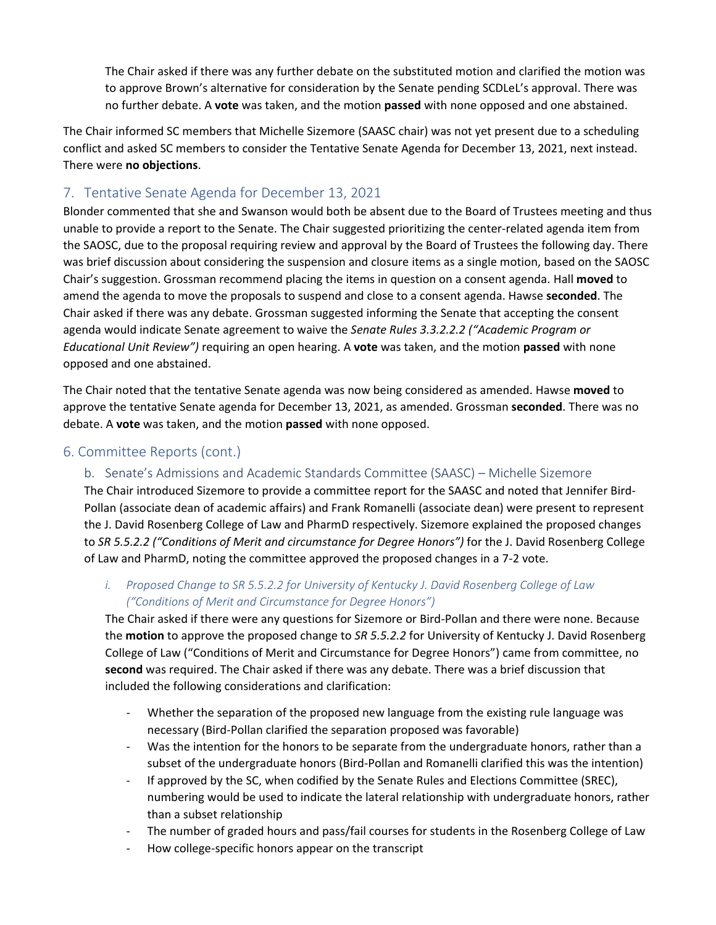The Chair asked if there was any further debate on the substituted motion and clarified the motion was to approve Brown's alternative for consideration by the Senate pending SCDLeL's approval. There was no further debate. A **vote** was taken, and the motion **passed** with none opposed and one abstained.

The Chair informed SC members that Michelle Sizemore (SAASC chair) was not yet present due to a scheduling conflict and asked SC members to consider the Tentative Senate Agenda for December 13, 2021, next instead. There were **no objections**.

## 7. Tentative Senate Agenda for December 13, 2021

Blonder commented that she and Swanson would both be absent due to the Board of Trustees meeting and thus unable to provide a report to the Senate. The Chair suggested prioritizing the center-related agenda item from the SAOSC, due to the proposal requiring review and approval by the Board of Trustees the following day. There was brief discussion about considering the suspension and closure items as a single motion, based on the SAOSC Chair's suggestion. Grossman recommend placing the items in question on a consent agenda. Hall **moved** to amend the agenda to move the proposals to suspend and close to a consent agenda. Hawse **seconded**. The Chair asked if there was any debate. Grossman suggested informing the Senate that accepting the consent agenda would indicate Senate agreement to waive the *Senate Rules 3.3.2.2.2 ("Academic Program or Educational Unit Review")* requiring an open hearing. A **vote** was taken, and the motion **passed** with none opposed and one abstained.

The Chair noted that the tentative Senate agenda was now being considered as amended. Hawse **moved** to approve the tentative Senate agenda for December 13, 2021, as amended. Grossman **seconded**. There was no debate. A **vote** was taken, and the motion **passed** with none opposed.

## 6. Committee Reports (cont.)

## b. Senate's Admissions and Academic Standards Committee (SAASC) – Michelle Sizemore

The Chair introduced Sizemore to provide a committee report for the SAASC and noted that Jennifer Bird-Pollan (associate dean of academic affairs) and Frank Romanelli (associate dean) were present to represent the J. David Rosenberg College of Law and PharmD respectively. Sizemore explained the proposed changes to *SR 5.5.2.2 ("Conditions of Merit and circumstance for Degree Honors")* for the J. David Rosenberg College of Law and PharmD, noting the committee approved the proposed changes in a 7-2 vote.

## *i. Proposed Change to SR 5.5.2.2 for University of Kentucky J. David Rosenberg College of Law ("Conditions of Merit and Circumstance for Degree Honors")*

The Chair asked if there were any questions for Sizemore or Bird-Pollan and there were none. Because the **motion** to approve the proposed change to *SR 5.5.2.2* for University of Kentucky J. David Rosenberg College of Law ("Conditions of Merit and Circumstance for Degree Honors") came from committee, no **second** was required. The Chair asked if there was any debate. There was a brief discussion that included the following considerations and clarification:

- Whether the separation of the proposed new language from the existing rule language was necessary (Bird-Pollan clarified the separation proposed was favorable)
- Was the intention for the honors to be separate from the undergraduate honors, rather than a subset of the undergraduate honors (Bird-Pollan and Romanelli clarified this was the intention)
- If approved by the SC, when codified by the Senate Rules and Elections Committee (SREC), numbering would be used to indicate the lateral relationship with undergraduate honors, rather than a subset relationship
- The number of graded hours and pass/fail courses for students in the Rosenberg College of Law
- How college-specific honors appear on the transcript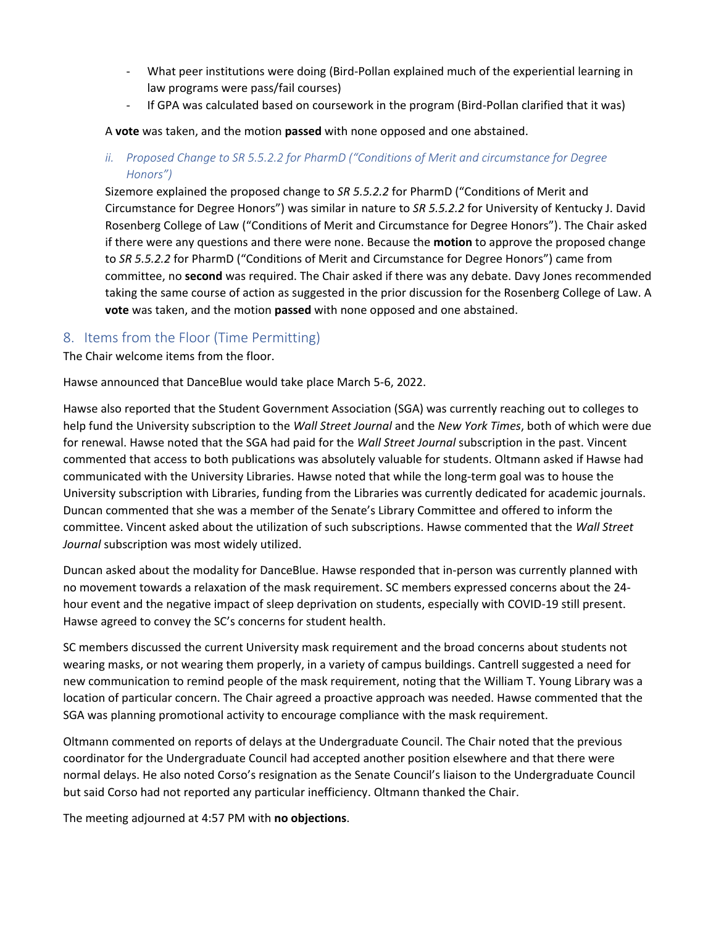- What peer institutions were doing (Bird-Pollan explained much of the experiential learning in law programs were pass/fail courses)
- If GPA was calculated based on coursework in the program (Bird-Pollan clarified that it was)

A **vote** was taken, and the motion **passed** with none opposed and one abstained.

*ii. Proposed Change to SR 5.5.2.2 for PharmD ("Conditions of Merit and circumstance for Degree Honors")*

Sizemore explained the proposed change to *SR 5.5.2.2* for PharmD ("Conditions of Merit and Circumstance for Degree Honors") was similar in nature to *SR 5.5.2.2* for University of Kentucky J. David Rosenberg College of Law ("Conditions of Merit and Circumstance for Degree Honors"). The Chair asked if there were any questions and there were none. Because the **motion** to approve the proposed change to *SR 5.5.2.2* for PharmD ("Conditions of Merit and Circumstance for Degree Honors") came from committee, no **second** was required. The Chair asked if there was any debate. Davy Jones recommended taking the same course of action as suggested in the prior discussion for the Rosenberg College of Law. A **vote** was taken, and the motion **passed** with none opposed and one abstained.

## 8. Items from the Floor (Time Permitting)

The Chair welcome items from the floor.

Hawse announced that DanceBlue would take place March 5-6, 2022.

Hawse also reported that the Student Government Association (SGA) was currently reaching out to colleges to help fund the University subscription to the *Wall Street Journal* and the *New York Times*, both of which were due for renewal. Hawse noted that the SGA had paid for the *Wall Street Journal* subscription in the past. Vincent commented that access to both publications was absolutely valuable for students. Oltmann asked if Hawse had communicated with the University Libraries. Hawse noted that while the long-term goal was to house the University subscription with Libraries, funding from the Libraries was currently dedicated for academic journals. Duncan commented that she was a member of the Senate's Library Committee and offered to inform the committee. Vincent asked about the utilization of such subscriptions. Hawse commented that the *Wall Street Journal* subscription was most widely utilized.

Duncan asked about the modality for DanceBlue. Hawse responded that in-person was currently planned with no movement towards a relaxation of the mask requirement. SC members expressed concerns about the 24 hour event and the negative impact of sleep deprivation on students, especially with COVID-19 still present. Hawse agreed to convey the SC's concerns for student health.

SC members discussed the current University mask requirement and the broad concerns about students not wearing masks, or not wearing them properly, in a variety of campus buildings. Cantrell suggested a need for new communication to remind people of the mask requirement, noting that the William T. Young Library was a location of particular concern. The Chair agreed a proactive approach was needed. Hawse commented that the SGA was planning promotional activity to encourage compliance with the mask requirement.

Oltmann commented on reports of delays at the Undergraduate Council. The Chair noted that the previous coordinator for the Undergraduate Council had accepted another position elsewhere and that there were normal delays. He also noted Corso's resignation as the Senate Council's liaison to the Undergraduate Council but said Corso had not reported any particular inefficiency. Oltmann thanked the Chair.

The meeting adjourned at 4:57 PM with **no objections**.